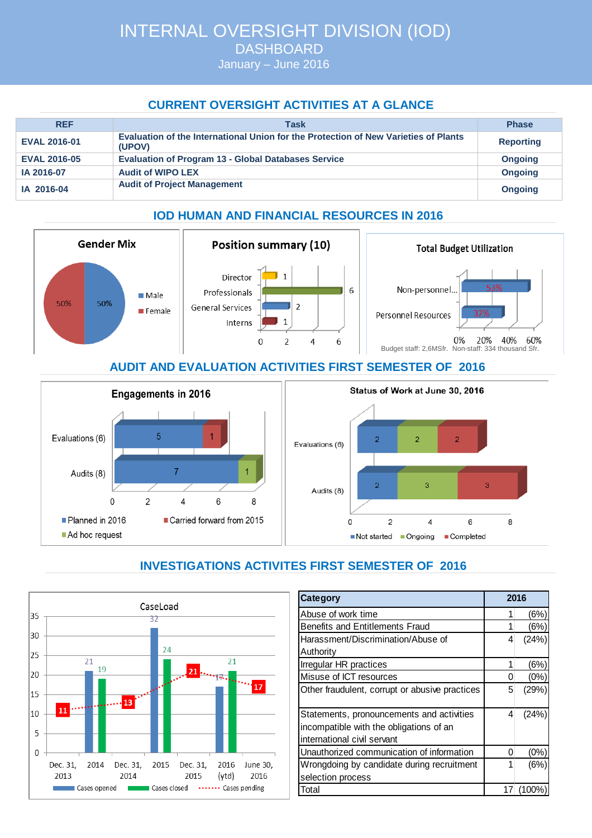January – June 2016

# **CURRENT OVERSIGHT ACTIVITIES AT A GLANCE**

| <b>REF</b>          | Task                                                                                          | <b>Phase</b>     |
|---------------------|-----------------------------------------------------------------------------------------------|------------------|
| <b>EVAL 2016-01</b> | Evaluation of the International Union for the Protection of New Varieties of Plants<br>(UPOV) | <b>Reporting</b> |
| <b>EVAL 2016-05</b> | <b>Evaluation of Program 13 - Global Databases Service</b>                                    | <b>Ongoing</b>   |
| IA 2016-07          | <b>Audit of WIPO LEX</b>                                                                      | <b>Ongoing</b>   |
| IA 2016-04          | <b>Audit of Project Management</b>                                                            | <b>Ongoing</b>   |

# **IOD HUMAN AND FINANCIAL RESOURCES IN 2016**



### **AUDIT AND EVALUATION ACTIVITIES FIRST SEMESTER OF 2016**



#### CaseLoad 35 32 30  $24$  $25$  $21$  $\overline{21}$ 19  $\overline{21}$  $|_{20}$ 17 15 13 11 10 5  $\overline{0}$ Dec. 31, Dec. 31, 2015 Dec. 31, 2016 June 30, 2014 2014 2015 2016 2013 (ytd) Cases opened Cases closed ...... Cases pending

| Category                                       |    | 2016  |  |
|------------------------------------------------|----|-------|--|
| Abuse of work time                             | 1  | (6%)  |  |
| Benefits and Entitlements Fraud                |    | (6%)  |  |
| Harassment/Discrimination/Abuse of             |    | (24%) |  |
| Authority                                      |    |       |  |
| Irregular HR practices                         |    | (6%)  |  |
| Misuse of ICT resources                        |    | (0%   |  |
| Other fraudulent, corrupt or abusive practices |    | (29%) |  |
|                                                |    |       |  |
| Statements, pronouncements and activities      | 4  | (24%) |  |
| incompatible with the obligations of an        |    |       |  |
| international civil servant                    |    |       |  |
| Unauthorized communication of information      |    | (0%   |  |
| Wrongdoing by candidate during recruitment     | 1  | (6%)  |  |
| selection process                              |    |       |  |
| Total                                          | 17 | 100%  |  |

8

# **INVESTIGATIONS ACTIVITES FIRST SEMESTER OF 2016**